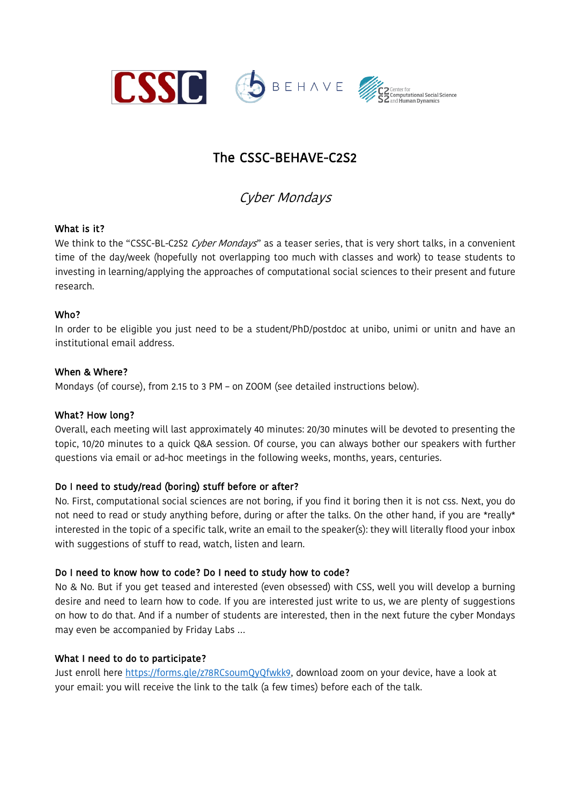

# The CSSC-BEHAVE-C2S2

Cyber Mondays

#### What is it?

We think to the "CSSC-BL-C2S2 Cyber Mondays" as a teaser series, that is very short talks, in a convenient time of the day/week (hopefully not overlapping too much with classes and work) to tease students to investing in learning/applying the approaches of computational social sciences to their present and future research.

#### Who?

In order to be eligible you just need to be a student/PhD/postdoc at unibo, unimi or unitn and have an institutional email address.

#### When & Where?

Mondays (of course), from 2.15 to 3 PM – on ZOOM (see detailed instructions below).

#### What? How long?

Overall, each meeting will last approximately 40 minutes: 20/30 minutes will be devoted to presenting the topic, 10/20 minutes to a quick Q&A session. Of course, you can always bother our speakers with further questions via email or ad-hoc meetings in the following weeks, months, years, centuries.

#### Do I need to study/read (boring) stuff before or after?

No. First, computational social sciences are not boring, if you find it boring then it is not css. Next, you do not need to read or study anything before, during or after the talks. On the other hand, if you are \*really\* interested in the topic of a specific talk, write an email to the speaker(s): they will literally flood your inbox with suggestions of stuff to read, watch, listen and learn.

#### Do I need to know how to code? Do I need to study how to code?

No & No. But if you get teased and interested (even obsessed) with CSS, well you will develop a burning desire and need to learn how to code. If you are interested just write to us, we are plenty of suggestions on how to do that. And if a number of students are interested, then in the next future the cyber Mondays may even be accompanied by Friday Labs …

#### What I need to do to participate?

Just enroll here https://forms.gle/z78RCsoumQyQfwkk9, download zoom on your device, have a look at your email: you will receive the link to the talk (a few times) before each of the talk.